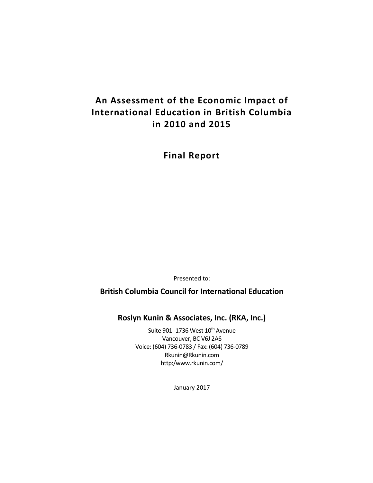# **An Assessment of the Economic Impact of International Education in British Columbia in 2010 and 2015**

**Final Report**

Presented to:

**British Columbia Council for International Education**

**Roslyn Kunin & Associates, Inc. (RKA, Inc.)**

Suite 901-1736 West 10<sup>th</sup> Avenue Vancouver, BC V6J 2A6 Voice: (604) 736-0783 / Fax: (604) 736-0789 Rkunin@Rkunin.com http:/www.rkunin.com/

January 2017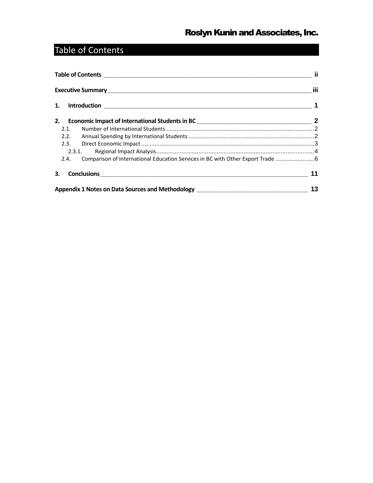# <span id="page-1-0"></span>Table of Contents

|    | Table of Contents <b>contents</b> and the content of the content of the content of the content of the content of the content of the content of the content of the content of the content of the content of the content of the conte |                                                                                                                |    |  |  |
|----|-------------------------------------------------------------------------------------------------------------------------------------------------------------------------------------------------------------------------------------|----------------------------------------------------------------------------------------------------------------|----|--|--|
|    |                                                                                                                                                                                                                                     |                                                                                                                |    |  |  |
|    |                                                                                                                                                                                                                                     |                                                                                                                |    |  |  |
|    |                                                                                                                                                                                                                                     |                                                                                                                |    |  |  |
|    | 2.1.                                                                                                                                                                                                                                |                                                                                                                |    |  |  |
|    | 2.2.                                                                                                                                                                                                                                |                                                                                                                |    |  |  |
|    |                                                                                                                                                                                                                                     |                                                                                                                |    |  |  |
|    |                                                                                                                                                                                                                                     | 2.3.1.                                                                                                         |    |  |  |
|    | 2.4.                                                                                                                                                                                                                                | Comparison of International Education Services in BC with Other Export Trade 6                                 |    |  |  |
| 3. |                                                                                                                                                                                                                                     |                                                                                                                | 11 |  |  |
|    |                                                                                                                                                                                                                                     | Appendix 1 Notes on Data Sources and Methodology [1988] [2001] [2002] [2003] [2003] [2003] [2003] [2003] [2003 | 13 |  |  |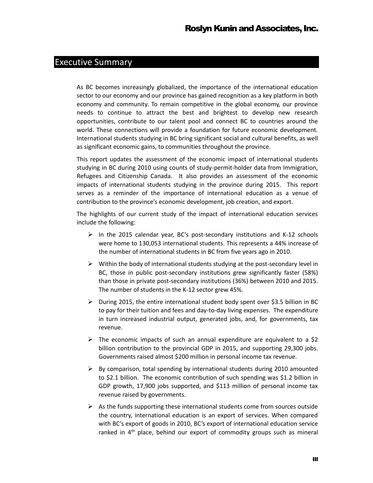### <span id="page-2-0"></span>Executive Summary

As BC becomes increasingly globalized, the importance of the international education sector to our economy and our province has gained recognition as a key platform in both economy and community. To remain competitive in the global economy, our province needs to continue to attract the best and brightest to develop new research opportunities, contribute to our talent pool and connect BC to countries around the world. These connections will provide a foundation for future economic development. International students studying in BC bring significant social and cultural benefits, as well as significant economic gains, to communities throughout the province.

This report updates the assessment of the economic impact of international students studying in BC during 2010 using counts of study-permit-holder data from Immigration, Refugees and Citizenship Canada. It also provides an assessment of the economic impacts of international students studying in the province during 2015. This report serves as a reminder of the importance of international education as a venue of contribution to the province's economic development, job creation, and export.

The highlights of our current study of the impact of international education services include the following:

- $\triangleright$  In the 2015 calendar year, BC's post-secondary institutions and K-12 schools were home to 130,053 international students. This represents a 44% increase of the number of international students in BC from five years ago in 2010.
- $\triangleright$  Within the body of international students studying at the post-secondary level in BC, those in public post-secondary institutions grew significantly faster (58%) than those in private post-secondary institutions (36%) between 2010 and 2015. The number of students in the K-12 sector grew 45%.
- $\triangleright$  During 2015, the entire international student body spent over \$3.5 billion in BC to pay for their tuition and fees and day-to-day living expenses. The expenditure in turn increased industrial output, generated jobs, and, for governments, tax revenue.
- $\triangleright$  The economic impacts of such an annual expenditure are equivalent to a \$2 billion contribution to the provincial GDP in 2015, and supporting 29,300 jobs. Governments raised almost \$200 million in personal income tax revenue.
- $\triangleright$  By comparison, total spending by international students during 2010 amounted to \$2.1 billion. The economic contribution of such spending was \$1.2 billion in GDP growth, 17,900 jobs supported, and \$113 million of personal income tax revenue raised by governments.
- $\triangleright$  As the funds supporting these international students come from sources outside the country, international education is an export of services. When compared with BC's export of goods in 2010, BC's export of international education service ranked in 4<sup>th</sup> place, behind our export of commodity groups such as mineral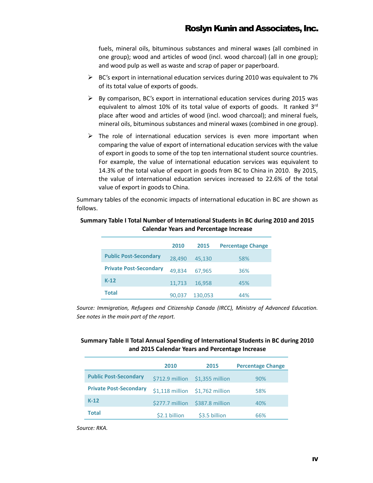fuels, mineral oils, bituminous substances and mineral waxes (all combined in one group); wood and articles of wood (incl. wood charcoal) (all in one group); and wood pulp as well as waste and scrap of paper or paperboard.

- $\triangleright$  BC's export in international education services during 2010 was equivalent to 7% of its total value of exports of goods.
- $\triangleright$  By comparison, BC's export in international education services during 2015 was equivalent to almost 10% of its total value of exports of goods. It ranked 3rd place after wood and articles of wood (incl. wood charcoal); and mineral fuels, mineral oils, bituminous substances and mineral waxes (combined in one group).
- $\triangleright$  The role of international education services is even more important when comparing the value of export of international education services with the value of export in goods to some of the top ten international student source countries. For example, the value of international education services was equivalent to 14.3% of the total value of export in goods from BC to China in 2010. By 2015, the value of international education services increased to 22.6% of the total value of export in goods to China.

Summary tables of the economic impacts of international education in BC are shown as follows.

|                               | 2010   | 2015    | <b>Percentage Change</b> |
|-------------------------------|--------|---------|--------------------------|
| <b>Public Post-Secondary</b>  | 28,490 | 45,130  | 58%                      |
| <b>Private Post-Secondary</b> | 49.834 | 67.965  | 36%                      |
| $K-12$                        | 11,713 | 16,958  | 45%                      |
| <b>Total</b>                  | 90.037 | 130,053 | 44%                      |

#### **Summary Table I Total Number of International Students in BC during 2010 and 2015 Calendar Years and Percentage Increase**

*Source: Immigration, Refugees and Citizenship Canada (IRCC), Ministry of Advanced Education. See notes in the main part of the report.*

#### **Summary Table II Total Annual Spending of International Students in BC during 2010 and 2015 Calendar Years and Percentage Increase**

|                               | 2010            | 2015                            | <b>Percentage Change</b> |
|-------------------------------|-----------------|---------------------------------|--------------------------|
| <b>Public Post-Secondary</b>  | \$712.9 million | \$1,355 million                 | 90%                      |
| <b>Private Post-Secondary</b> |                 | \$1,118 million \$1,762 million | 58%                      |
| $K-12$                        | \$277.7 million | \$387.8 million                 | 40%                      |
| Total                         | \$2.1 billion   | \$3.5 billion                   | 66%                      |

*Source: RKA.*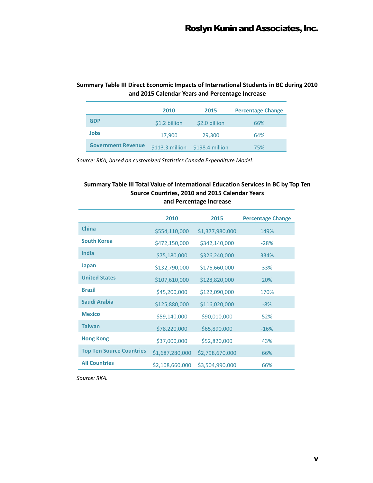#### **Summary Table III Direct Economic Impacts of International Students in BC during 2010 and 2015 Calendar Years and Percentage Increase**

|                           | 2010             | 2015            | <b>Percentage Change</b> |
|---------------------------|------------------|-----------------|--------------------------|
| GDP                       | \$1.2 billion    | \$2.0 billion   | 66%                      |
| Jobs                      | 17,900           | 29,300          | 64%                      |
| <b>Government Revenue</b> | $$113.3$ million | \$198.4 million | 75%                      |

*Source: RKA, based on customized Statistics Canada Expenditure Model.*

#### **Summary Table III Total Value of International Education Services in BC by Top Ten Source Countries, 2010 and 2015 Calendar Years and Percentage Increase**

|                                 | 2010            | 2015            | <b>Percentage Change</b> |
|---------------------------------|-----------------|-----------------|--------------------------|
| <b>China</b>                    | \$554,110,000   | \$1,377,980,000 | 149%                     |
| <b>South Korea</b>              | \$472,150,000   | \$342,140,000   | $-28%$                   |
| India                           | \$75,180,000    | \$326,240,000   | 334%                     |
| Japan                           | \$132,790,000   | \$176,660,000   | 33%                      |
| <b>United States</b>            | \$107,610,000   | \$128,820,000   | 20%                      |
| <b>Brazil</b>                   | \$45,200,000    | \$122,090,000   | 170%                     |
| Saudi Arabia                    | \$125,880,000   | \$116,020,000   | $-8%$                    |
| <b>Mexico</b>                   | \$59,140,000    | \$90,010,000    | 52%                      |
| <b>Taiwan</b>                   | \$78,220,000    | \$65,890,000    | $-16%$                   |
| <b>Hong Kong</b>                | \$37,000,000    | \$52,820,000    | 43%                      |
| <b>Top Ten Source Countries</b> | \$1,687,280,000 | \$2,798,670,000 | 66%                      |
| <b>All Countries</b>            | \$2,108,660,000 | \$3,504,990,000 | 66%                      |

*Source: RKA.*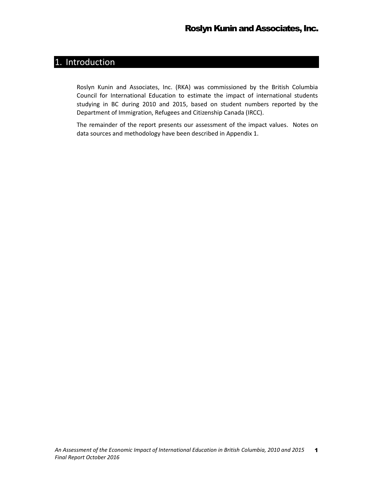# <span id="page-5-0"></span>1. Introduction

Roslyn Kunin and Associates, Inc. (RKA) was commissioned by the British Columbia Council for International Education to estimate the impact of international students studying in BC during 2010 and 2015, based on student numbers reported by the Department of Immigration, Refugees and Citizenship Canada (IRCC).

The remainder of the report presents our assessment of the impact values. Notes on data sources and methodology have been described in Appendix 1.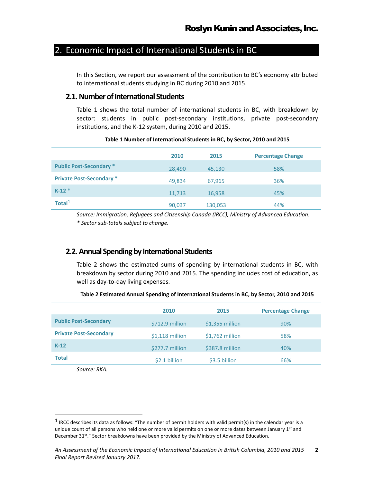### <span id="page-6-0"></span>2. Economic Impact of International Students in BC

In this Section, we report our assessment of the contribution to BC's economy attributed to international students studying in BC during 2010 and 2015.

#### <span id="page-6-1"></span>**2.1.Number of International Students**

Table 1 shows the total number of international students in BC, with breakdown by sector: students in public post-secondary institutions, private post-secondary institutions, and the K-12 system, during 2010 and 2015.

|                                 | 2010   | 2015    | <b>Percentage Change</b> |
|---------------------------------|--------|---------|--------------------------|
| <b>Public Post-Secondary *</b>  | 28,490 | 45,130  | 58%                      |
| <b>Private Post-Secondary *</b> | 49,834 | 67,965  | 36%                      |
| $K-12$ *                        | 11,713 | 16,958  | 45%                      |
| Total $1$                       | 90,037 | 130,053 | 44%                      |

#### **Table 1 Number of International Students in BC, by Sector, 2010 and 2015**

*Source: Immigration, Refugees and Citizenship Canada (IRCC), Ministry of Advanced Education. \* Sector sub-totals subject to change.*

#### <span id="page-6-2"></span>**2.2. Annual Spending by International Students**

Table 2 shows the estimated sums of spending by international students in BC, with breakdown by sector during 2010 and 2015. The spending includes cost of education, as well as day-to-day living expenses.

|  |  | Table 2 Estimated Annual Spending of International Students in BC, by Sector, 2010 and 2015 |  |  |
|--|--|---------------------------------------------------------------------------------------------|--|--|
|--|--|---------------------------------------------------------------------------------------------|--|--|

|                               | 2010             | 2015             | <b>Percentage Change</b> |
|-------------------------------|------------------|------------------|--------------------------|
| <b>Public Post-Secondary</b>  | \$712.9 million  | $$1,355$ million | 90%                      |
| <b>Private Post-Secondary</b> | $$1,118$ million | $$1,762$ million | 58%                      |
| $K-12$                        | \$277.7 million  | \$387.8 million  | 40%                      |
| <b>Total</b>                  | \$2.1 billion    | \$3.5 billion    | 66%                      |
|                               |                  |                  |                          |

*Source: RKA.*

 $\overline{a}$ 

 $1$  IRCC describes its data as follows: "The number of permit holders with valid permit(s) in the calendar year is a unique count of all persons who held one or more valid permits on one or more dates between January 1st and December 31<sup>st</sup>." Sector breakdowns have been provided by the Ministry of Advanced Education.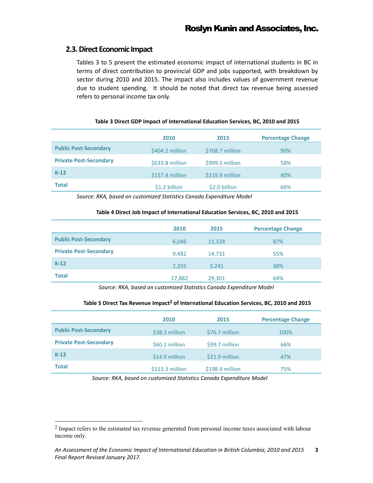#### <span id="page-7-0"></span>**2.3.Direct Economic Impact**

 $\overline{a}$ 

Tables 3 to 5 present the estimated economic impact of international students in BC in terms of direct contribution to provincial GDP and jobs supported, with breakdown by sector during 2010 and 2015. The impact also includes values of government revenue due to student spending. It should be noted that direct tax revenue being assessed refers to personal income tax only.

|                               | 2010            | 2015            | <b>Percentage Change</b> |
|-------------------------------|-----------------|-----------------|--------------------------|
| <b>Public Post-Secondary</b>  | \$404.2 million | \$768.7 million | 90%                      |
| <b>Private Post-Secondary</b> | \$633.8 million | \$999.5 million | 58%                      |
| $K-12$                        | \$157.4 million | \$219.9 million | 40%                      |
| <b>Total</b>                  | \$1.2 billion   | \$2.0 billion   | 66%                      |

*Source: RKA, based on customized Statistics Canada Expenditure Model*

#### **Table 4 Direct Job Impact of International Education Services, BC, 2010 and 2015**

|                               | 2010   | 2015   | <b>Percentage Change</b> |
|-------------------------------|--------|--------|--------------------------|
| <b>Public Post-Secondary</b>  | 6,046  | 11,328 | 87%                      |
| <b>Private Post-Secondary</b> | 9,482  | 14,731 | 55%                      |
| $K-12$                        | 2,355  | 3,241  | 38%                      |
| <b>Total</b>                  | 17,882 | 29,301 | 64%                      |

*Source: RKA, based on customized Statistics Canada Expenditure Model*

#### **Table 5 Direct Tax Revenue Impact<sup>2</sup> of International Education Services, BC, 2010 and 2015**

|                               | 2010            | 2015            | <b>Percentage Change</b> |
|-------------------------------|-----------------|-----------------|--------------------------|
| <b>Public Post-Secondary</b>  | \$38.3 million  | \$76.7 million  | 100%                     |
| <b>Private Post-Secondary</b> | \$60.1 million  | \$99.7 million  | 66%                      |
| $K-12$                        | \$14.9 million  | \$21.9 million  | 47%                      |
| <b>Total</b>                  | \$113.3 million | \$198.4 million | 75%                      |

*Source: RKA, based on customized Statistics Canada Expenditure Model*

<sup>2</sup> Impact refers to the estimated tax revenue generated from personal income taxes associated with labour income only.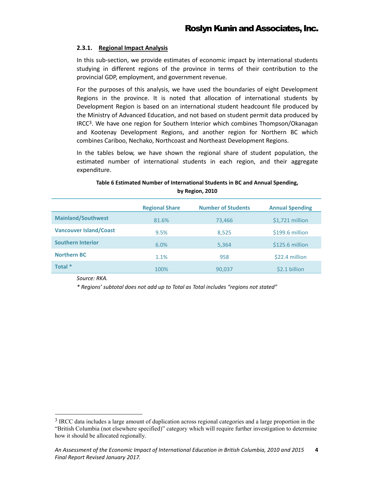#### <span id="page-8-0"></span>**2.3.1. Regional Impact Analysis**

In this sub-section, we provide estimates of economic impact by international students studying in different regions of the province in terms of their contribution to the provincial GDP, employment, and government revenue.

For the purposes of this analysis, we have used the boundaries of eight Development Regions in the province. It is noted that allocation of international students by Development Region is based on an international student headcount file produced by the Ministry of Advanced Education, and not based on student permit data produced by IRCC3. We have one region for Southern Interior which combines Thompson/Okanagan and Kootenay Development Regions, and another region for Northern BC which combines Cariboo, Nechako, Northcoast and Northeast Development Regions.

In the tables below, we have shown the regional share of student population, the estimated number of international students in each region, and their aggregate expenditure.

#### **Table 6 Estimated Number of International Students in BC and Annual Spending, by Region, 2010**

|                               | <b>Regional Share</b> | <b>Number of Students</b> | <b>Annual Spending</b> |
|-------------------------------|-----------------------|---------------------------|------------------------|
| <b>Mainland/Southwest</b>     | 81.6%                 | 73,466                    | $$1,721$ million       |
| <b>Vancouver Island/Coast</b> | 9.5%                  | 8,525                     | \$199.6 million        |
| <b>Southern Interior</b>      | 6.0%                  | 5,364                     | \$125.6 million        |
| <b>Northern BC</b>            | 1.1%                  | 958                       | \$22.4 million         |
| Total *                       | 100%                  | 90,037                    | \$2.1 billion          |

*Source: RKA.*

 $\overline{a}$ 

*\* Regions' subtotal does not add up to Total as Total includes "regions not stated"* 

<sup>3</sup> IRCC data includes a large amount of duplication across regional categories and a large proportion in the "British Columbia (not elsewhere specified)" category which will require further investigation to determine how it should be allocated regionally.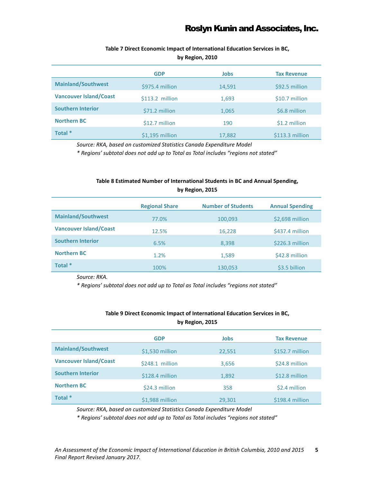### **Table 7 Direct Economic Impact of International Education Services in BC,**

**by Region, 2010** 

|                               | <b>GDP</b>       | <b>Jobs</b> | <b>Tax Revenue</b> |
|-------------------------------|------------------|-------------|--------------------|
| <b>Mainland/Southwest</b>     | \$975.4 million  | 14,591      | \$92.5 million     |
| <b>Vancouver Island/Coast</b> | $$113.2$ million | 1,693       | \$10.7 million     |
| <b>Southern Interior</b>      | \$71.2 million   | 1,065       | \$6.8 million      |
| <b>Northern BC</b>            | \$12.7 million   | 190         | \$1.2 million      |
| Total *                       | $$1,195$ million | 17,882      | \$113.3 million    |

*Source: RKA, based on customized Statistics Canada Expenditure Model*

*\* Regions' subtotal does not add up to Total as Total includes "regions not stated"*

#### **Table 8 Estimated Number of International Students in BC and Annual Spending, by Region, 2015**

|                               | <b>Regional Share</b> | <b>Number of Students</b> | <b>Annual Spending</b> |
|-------------------------------|-----------------------|---------------------------|------------------------|
| <b>Mainland/Southwest</b>     | 77.0%                 | 100,093                   | \$2,698 million        |
| <b>Vancouver Island/Coast</b> | 12.5%                 | 16,228                    | \$437.4 million        |
| <b>Southern Interior</b>      | 6.5%                  | 8,398                     | \$226.3 million        |
| <b>Northern BC</b>            | 1.2%                  | 1,589                     | \$42.8 million         |
| Total *                       | 100%                  | 130,053                   | \$3.5 billion          |

*Source: RKA.* 

*\* Regions' subtotal does not add up to Total as Total includes "regions not stated"* 

|                               | <b>GDP</b>       | <b>Jobs</b> | <b>Tax Revenue</b> |
|-------------------------------|------------------|-------------|--------------------|
| <b>Mainland/Southwest</b>     | \$1,530 million  | 22,551      | \$152.7 million    |
| <b>Vancouver Island/Coast</b> | $$248.1$ million | 3,656       | \$24.8 million     |
| <b>Southern Interior</b>      | \$128.4 million  | 1,892       | \$12.8 million     |
| <b>Northern BC</b>            | \$24.3 million   | 358         | \$2.4 million      |
| Total *                       | \$1,988 million  | 29,301      | \$198.4 million    |

#### **Table 9 Direct Economic Impact of International Education Services in BC, by Region, 2015**

*Source: RKA, based on customized Statistics Canada Expenditure Model*

*\* Regions' subtotal does not add up to Total as Total includes "regions not stated"*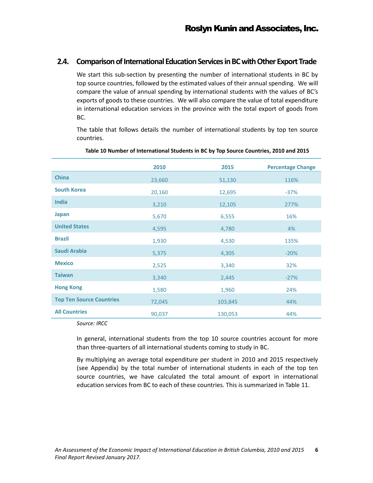#### <span id="page-10-0"></span>**2.4.** Comparison of International Education Services in BC with Other Export Trade

We start this sub-section by presenting the number of international students in BC by top source countries, followed by the estimated values of their annual spending. We will compare the value of annual spending by international students with the values of BC's exports of goods to these countries. We will also compare the value of total expenditure in international education services in the province with the total export of goods from BC.

The table that follows details the number of international students by top ten source countries.

|                                 | 2010             | 2015               | <b>Percentage Change</b> |
|---------------------------------|------------------|--------------------|--------------------------|
| <b>China</b>                    | 23,660           | 51,130             | 116%                     |
| <b>South Korea</b>              | 20,160           | 12,695             | $-37%$                   |
| <b>India</b>                    | 3,210            | 12,105             | 277%                     |
| <b>Japan</b>                    | 5,670            | 6,555              | 16%                      |
| <b>United States</b>            | 4,595            | 4,780              | 4%                       |
| <b>Brazil</b>                   | 1,930            | 4,530              | 135%                     |
| Saudi Arabia                    | 5,375            | 4,305              | $-20%$                   |
| <b>Mexico</b>                   | 2,525            | 3,340              | 32%                      |
| <b>Taiwan</b>                   | 3,340            | 2,445              | $-27%$                   |
| <b>Hong Kong</b>                | 1,580            | 1,960              | 24%                      |
| <b>Top Ten Source Countries</b> |                  |                    |                          |
| <b>All Countries</b>            | 72,045<br>90,037 | 103,845<br>130,053 | 44%<br>44%               |

#### **Table 10 Number of International Students in BC by Top Source Countries, 2010 and 2015**

*Source: IRCC*

In general, international students from the top 10 source countries account for more than three-quarters of all international students coming to study in BC.

By multiplying an average total expenditure per student in 2010 and 2015 respectively (see Appendix) by the total number of international students in each of the top ten source countries, we have calculated the total amount of export in international education services from BC to each of these countries. This is summarized in Table 11.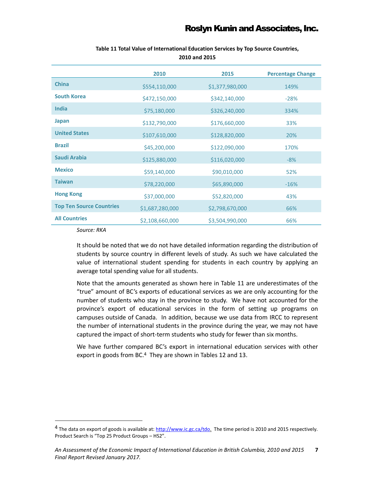|                                 | 2010            | 2015            | <b>Percentage Change</b> |
|---------------------------------|-----------------|-----------------|--------------------------|
| <b>China</b>                    | \$554,110,000   | \$1,377,980,000 | 149%                     |
| <b>South Korea</b>              | \$472,150,000   | \$342,140,000   | $-28%$                   |
| <b>India</b>                    | \$75,180,000    | \$326,240,000   | 334%                     |
| Japan                           | \$132,790,000   | \$176,660,000   | 33%                      |
| <b>United States</b>            | \$107,610,000   | \$128,820,000   | 20%                      |
| <b>Brazil</b>                   | \$45,200,000    | \$122,090,000   | 170%                     |
| Saudi Arabia                    | \$125,880,000   | \$116,020,000   | $-8%$                    |
| <b>Mexico</b>                   | \$59,140,000    | \$90,010,000    | 52%                      |
| <b>Taiwan</b>                   | \$78,220,000    | \$65,890,000    | $-16%$                   |
| <b>Hong Kong</b>                | \$37,000,000    | \$52,820,000    | 43%                      |
| <b>Top Ten Source Countries</b> | \$1,687,280,000 | \$2,798,670,000 | 66%                      |
| <b>All Countries</b>            | \$2,108,660,000 | \$3,504,990,000 | 66%                      |

#### **Table 11 Total Value of International Education Services by Top Source Countries, 2010 and 2015**

*Source: RKA*

It should be noted that we do not have detailed information regarding the distribution of students by source country in different levels of study. As such we have calculated the value of international student spending for students in each country by applying an average total spending value for all students.

Note that the amounts generated as shown here in Table 11 are underestimates of the "true" amount of BC's exports of educational services as we are only accounting for the number of students who stay in the province to study. We have not accounted for the province's export of educational services in the form of setting up programs on campuses outside of Canada. In addition, because we use data from IRCC to represent the number of international students in the province during the year, we may not have captured the impact of short-term students who study for fewer than six months.

We have further compared BC's export in international education services with other export in goods from BC. <sup>4</sup> They are shown in Tables 12 and 13.

<sup>&</sup>lt;sup>4</sup> The data on export of goods is available at: [http://www.ic.gc.ca/tdo.](http://www.ic.gc.ca/tdo) The time period is 2010 and 2015 respectively. Product Search is "Top 25 Product Groups – HS2".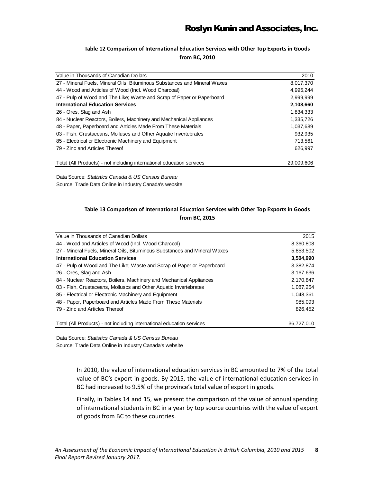#### **Table 12 Comparison of International Education Services with Other Top Exports in Goods from BC, 2010**

| Value in Thousands of Canadian Dollars                                    | 2010       |
|---------------------------------------------------------------------------|------------|
| 27 - Mineral Fuels, Mineral Oils, Bituminous Substances and Mineral Waxes | 8,017,370  |
| 44 - Wood and Articles of Wood (Incl. Wood Charcoal)                      | 4,995,244  |
| 47 - Pulp of Wood and The Like; Waste and Scrap of Paper or Paperboard    | 2,999,999  |
| <b>International Education Services</b>                                   | 2,108,660  |
| 26 - Ores, Slag and Ash                                                   | 1,834,333  |
| 84 - Nuclear Reactors, Boilers, Machinery and Mechanical Appliances       | 1,335,726  |
| 48 - Paper, Paperboard and Articles Made From These Materials             | 1,037,689  |
| 03 - Fish, Crustaceans, Molluscs and Other Aquatic Invertebrates          | 932,935    |
| 85 - Electrical or Electronic Machinery and Equipment                     | 713.561    |
| 79 - Zinc and Articles Thereof                                            | 626.997    |
|                                                                           |            |
| Total (All Products) - not including international education services     | 29.009.606 |

Data Source: *Statistics Canada & US Census Bureau* Source: Trade Data Online in Industry Canada's website

#### **Table 13 Comparison of International Education Services with Other Top Exports in Goods from BC, 2015**

| Value in Thousands of Canadian Dollars                                    | 2015       |
|---------------------------------------------------------------------------|------------|
| 44 - Wood and Articles of Wood (Incl. Wood Charcoal)                      | 8,360,808  |
| 27 - Mineral Fuels, Mineral Oils, Bituminous Substances and Mineral Waxes | 5,853,502  |
| <b>International Education Services</b>                                   | 3,504,990  |
| 47 - Pulp of Wood and The Like; Waste and Scrap of Paper or Paperboard    | 3,382,874  |
| 26 - Ores, Slag and Ash                                                   | 3,167,636  |
| 84 - Nuclear Reactors, Boilers, Machinery and Mechanical Appliances       | 2,170,847  |
| 03 - Fish, Crustaceans, Molluscs and Other Aquatic Invertebrates          | 1,087,254  |
| 85 - Electrical or Electronic Machinery and Equipment                     | 1.048.361  |
| 48 - Paper, Paperboard and Articles Made From These Materials             | 985,093    |
| 79 - Zinc and Articles Thereof                                            | 826,452    |
|                                                                           |            |
| Total (All Products) - not including international education services     | 36,727,010 |

Data Source: *Statistics Canada & US Census Bureau* Source: Trade Data Online in Industry Canada's website

> In 2010, the value of international education services in BC amounted to 7% of the total value of BC's export in goods. By 2015, the value of international education services in BC had increased to 9.5% of the province's total value of export in goods.

> Finally, in Tables 14 and 15, we present the comparison of the value of annual spending of international students in BC in a year by top source countries with the value of export of goods from BC to these countries.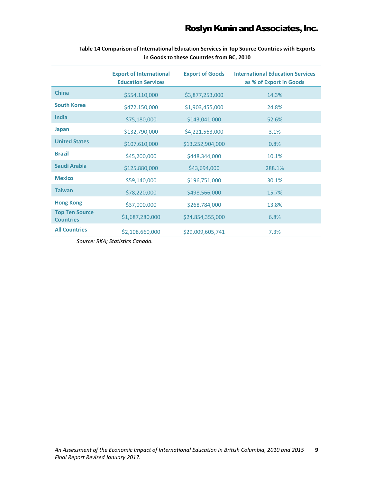|                                           | <b>Export of International</b><br><b>Education Services</b> | <b>Export of Goods</b> | <b>International Education Services</b><br>as % of Export in Goods |
|-------------------------------------------|-------------------------------------------------------------|------------------------|--------------------------------------------------------------------|
| <b>China</b>                              | \$554,110,000                                               | \$3,877,253,000        | 14.3%                                                              |
| <b>South Korea</b>                        | \$472,150,000                                               | \$1,903,455,000        | 24.8%                                                              |
| India                                     | \$75,180,000                                                | \$143,041,000          | 52.6%                                                              |
| Japan                                     | \$132,790,000                                               | \$4,221,563,000        | 3.1%                                                               |
| <b>United States</b>                      | \$107,610,000                                               | \$13,252,904,000       | 0.8%                                                               |
| <b>Brazil</b>                             | \$45,200,000                                                | \$448,344,000          | 10.1%                                                              |
| Saudi Arabia                              | \$125,880,000                                               | \$43,694,000           | 288.1%                                                             |
| <b>Mexico</b>                             | \$59,140,000                                                | \$196,751,000          | 30.1%                                                              |
| <b>Taiwan</b>                             | \$78,220,000                                                | \$498,566,000          | 15.7%                                                              |
| <b>Hong Kong</b>                          | \$37,000,000                                                | \$268,784,000          | 13.8%                                                              |
| <b>Top Ten Source</b><br><b>Countries</b> | \$1,687,280,000                                             | \$24,854,355,000       | 6.8%                                                               |
| <b>All Countries</b>                      | \$2,108,660,000                                             | \$29,009,605,741       | 7.3%                                                               |

**Table 14 Comparison of International Education Services in Top Source Countries with Exports in Goods to these Countries from BC, 2010**

*Source: RKA; Statistics Canada.*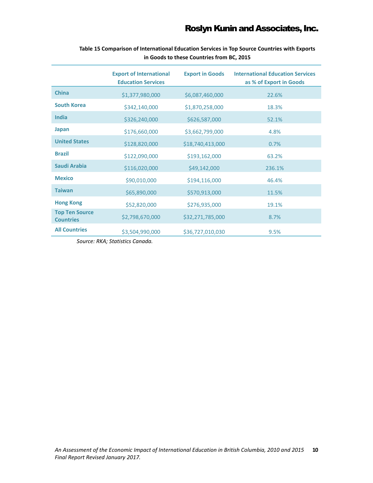|                                           | <b>Export of International</b><br><b>Education Services</b> | <b>Export in Goods</b> | <b>International Education Services</b><br>as % of Export in Goods |
|-------------------------------------------|-------------------------------------------------------------|------------------------|--------------------------------------------------------------------|
| <b>China</b>                              | \$1,377,980,000                                             | \$6,087,460,000        | 22.6%                                                              |
| <b>South Korea</b>                        | \$342,140,000                                               | \$1,870,258,000        | 18.3%                                                              |
| <b>India</b>                              | \$326,240,000                                               | \$626,587,000          | 52.1%                                                              |
| <b>Japan</b>                              | \$176,660,000                                               | \$3,662,799,000        | 4.8%                                                               |
| <b>United States</b>                      | \$128,820,000                                               | \$18,740,413,000       | 0.7%                                                               |
| <b>Brazil</b>                             | \$122,090,000                                               | \$193,162,000          | 63.2%                                                              |
| Saudi Arabia                              | \$116,020,000                                               | \$49,142,000           | 236.1%                                                             |
| <b>Mexico</b>                             | \$90,010,000                                                | \$194,116,000          | 46.4%                                                              |
| <b>Taiwan</b>                             | \$65,890,000                                                | \$570,913,000          | 11.5%                                                              |
| <b>Hong Kong</b>                          | \$52,820,000                                                | \$276,935,000          | 19.1%                                                              |
| <b>Top Ten Source</b><br><b>Countries</b> | \$2,798,670,000                                             | \$32,271,785,000       | 8.7%                                                               |
| <b>All Countries</b>                      | \$3,504,990,000                                             | \$36,727,010,030       | 9.5%                                                               |

**Table 15 Comparison of International Education Services in Top Source Countries with Exports in Goods to these Countries from BC, 2015**

*Source: RKA; Statistics Canada.*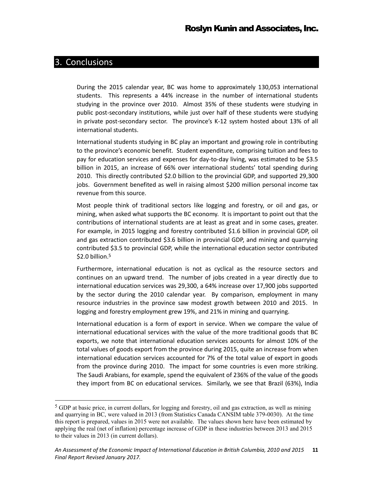### <span id="page-15-0"></span>3. Conclusions

During the 2015 calendar year, BC was home to approximately 130,053 international students. This represents a 44% increase in the number of international students studying in the province over 2010. Almost 35% of these students were studying in public post-secondary institutions, while just over half of these students were studying in private post-secondary sector. The province's K-12 system hosted about 13% of all international students.

International students studying in BC play an important and growing role in contributing to the province's economic benefit. Student expenditure, comprising tuition and fees to pay for education services and expenses for day-to-day living, was estimated to be \$3.5 billion in 2015, an increase of 66% over international students' total spending during 2010. This directly contributed \$2.0 billion to the provincial GDP, and supported 29,300 jobs. Government benefited as well in raising almost \$200 million personal income tax revenue from this source.

Most people think of traditional sectors like logging and forestry, or oil and gas, or mining, when asked what supports the BC economy. It is important to point out that the contributions of international students are at least as great and in some cases, greater. For example, in 2015 logging and forestry contributed \$1.6 billion in provincial GDP, oil and gas extraction contributed \$3.6 billion in provincial GDP, and mining and quarrying contributed \$3.5 to provincial GDP, while the international education sector contributed \$2.0 billion.<sup>5</sup>

Furthermore, international education is not as cyclical as the resource sectors and continues on an upward trend. The number of jobs created in a year directly due to international education services was 29,300, a 64% increase over 17,900 jobs supported by the sector during the 2010 calendar year. By comparison, employment in many resource industries in the province saw modest growth between 2010 and 2015. In logging and forestry employment grew 19%, and 21% in mining and quarrying.

International education is a form of export in service. When we compare the value of international educational services with the value of the more traditional goods that BC exports, we note that international education services accounts for almost 10% of the total values of goods export from the province during 2015, quite an increase from when international education services accounted for 7% of the total value of export in goods from the province during 2010. The impact for some countries is even more striking. The Saudi Arabians, for example, spend the equivalent of 236% of the value of the goods they import from BC on educational services. Similarly, we see that Brazil (63%), India

<sup>5</sup> GDP at basic price, in current dollars, for logging and forestry, oil and gas extraction, as well as mining and quarrying in BC, were valued in 2013 (from Statistics Canada CANSIM table 379-0030). At the time this report is prepared, values in 2015 were not available. The values shown here have been estimated by applying the real (net of inflation) percentage increase of GDP in these industries between 2013 and 2015 to their values in 2013 (in current dollars).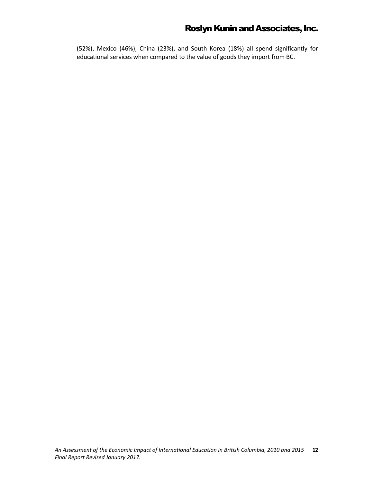(52%), Mexico (46%), China (23%), and South Korea (18%) all spend significantly for educational services when compared to the value of goods they import from BC.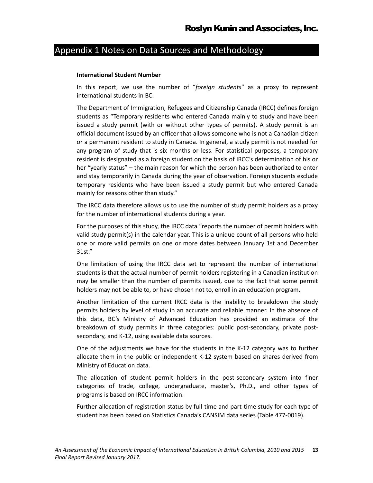# <span id="page-17-0"></span>Appendix 1 Notes on Data Sources and Methodology

#### **International Student Number**

In this report, we use the number of "*foreign students*" as a proxy to represent international students in BC.

The Department of Immigration, Refugees and Citizenship Canada (IRCC) defines foreign students as "Temporary residents who entered Canada mainly to study and have been issued a study permit (with or without other types of permits). A study permit is an official document issued by an officer that allows someone who is not a Canadian citizen or a permanent resident to study in Canada. In general, a study permit is not needed for any program of study that is six months or less. For statistical purposes, a temporary resident is designated as a foreign student on the basis of IRCC's determination of his or her "yearly status" – the main reason for which the person has been authorized to enter and stay temporarily in Canada during the year of observation. Foreign students exclude temporary residents who have been issued a study permit but who entered Canada mainly for reasons other than study."

The IRCC data therefore allows us to use the number of study permit holders as a proxy for the number of international students during a year.

For the purposes of this study, the IRCC data "reports the number of permit holders with valid study permit(s) in the calendar year. This is a unique count of all persons who held one or more valid permits on one or more dates between January 1st and December 31st."

One limitation of using the IRCC data set to represent the number of international students is that the actual number of permit holders registering in a Canadian institution may be smaller than the number of permits issued, due to the fact that some permit holders may not be able to, or have chosen not to, enroll in an education program.

Another limitation of the current IRCC data is the inability to breakdown the study permits holders by level of study in an accurate and reliable manner. In the absence of this data, BC's Ministry of Advanced Education has provided an estimate of the breakdown of study permits in three categories: public post-secondary, private postsecondary, and K-12, using available data sources.

One of the adjustments we have for the students in the K-12 category was to further allocate them in the public or independent K-12 system based on shares derived from Ministry of Education data.

The allocation of student permit holders in the post-secondary system into finer categories of trade, college, undergraduate, master's, Ph.D., and other types of programs is based on IRCC information.

Further allocation of registration status by full-time and part-time study for each type of student has been based on Statistics Canada's CANSIM data series (Table 477-0019).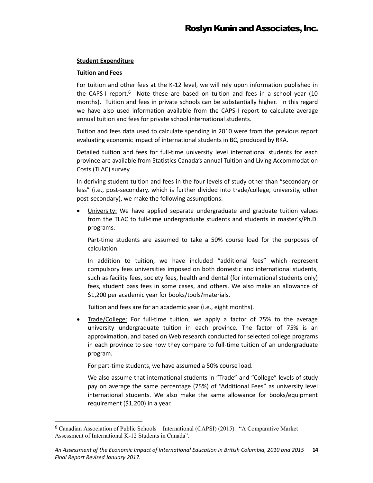#### **Student Expenditure**

#### **Tuition and Fees**

 $\overline{a}$ 

For tuition and other fees at the K-12 level, we will rely upon information published in the CAPS-I report.<sup>6</sup> Note these are based on tuition and fees in a school year (10 months). Tuition and fees in private schools can be substantially higher. In this regard we have also used information available from the CAPS-I report to calculate average annual tuition and fees for private school international students.

Tuition and fees data used to calculate spending in 2010 were from the previous report evaluating economic impact of international students in BC, produced by RKA.

Detailed tuition and fees for full-time university level international students for each province are available from Statistics Canada's annual Tuition and Living Accommodation Costs (TLAC) survey.

In deriving student tuition and fees in the four levels of study other than "secondary or less" (i.e., post-secondary, which is further divided into trade/college, university, other post-secondary), we make the following assumptions:

 University: We have applied separate undergraduate and graduate tuition values from the TLAC to full-time undergraduate students and students in master's/Ph.D. programs.

Part-time students are assumed to take a 50% course load for the purposes of calculation.

In addition to tuition, we have included "additional fees" which represent compulsory fees universities imposed on both domestic and international students, such as facility fees, society fees, health and dental (for international students only) fees, student pass fees in some cases, and others. We also make an allowance of \$1,200 per academic year for books/tools/materials.

Tuition and fees are for an academic year (i.e., eight months).

 Trade/College: For full-time tuition, we apply a factor of 75% to the average university undergraduate tuition in each province. The factor of 75% is an approximation, and based on Web research conducted for selected college programs in each province to see how they compare to full-time tuition of an undergraduate program.

For part-time students, we have assumed a 50% course load.

We also assume that international students in "Trade" and "College" levels of study pay on average the same percentage (75%) of "Additional Fees" as university level international students. We also make the same allowance for books/equipment requirement (\$1,200) in a year.

<sup>6</sup> Canadian Association of Public Schools – International (CAPSI) (2015). "A Comparative Market Assessment of International K-12 Students in Canada".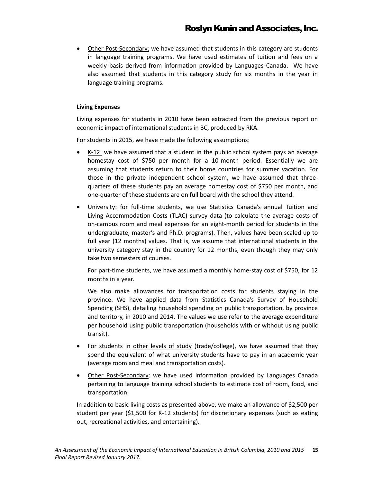Other Post-Secondary: we have assumed that students in this category are students in language training programs. We have used estimates of tuition and fees on a weekly basis derived from information provided by Languages Canada. We have also assumed that students in this category study for six months in the year in language training programs.

#### **Living Expenses**

Living expenses for students in 2010 have been extracted from the previous report on economic impact of international students in BC, produced by RKA.

For students in 2015, we have made the following assumptions:

- K-12: we have assumed that a student in the public school system pays an average homestay cost of \$750 per month for a 10-month period. Essentially we are assuming that students return to their home countries for summer vacation. For those in the private independent school system, we have assumed that threequarters of these students pay an average homestay cost of \$750 per month, and one-quarter of these students are on full board with the school they attend.
- University: for full-time students, we use Statistics Canada's annual Tuition and Living Accommodation Costs (TLAC) survey data (to calculate the average costs of on-campus room and meal expenses for an eight-month period for students in the undergraduate, master's and Ph.D. programs). Then, values have been scaled up to full year (12 months) values. That is, we assume that international students in the university category stay in the country for 12 months, even though they may only take two semesters of courses.

For part-time students, we have assumed a monthly home-stay cost of \$750, for 12 months in a year.

We also make allowances for transportation costs for students staying in the province. We have applied data from Statistics Canada's Survey of Household Spending (SHS), detailing household spending on public transportation, by province and territory, in 2010 and 2014. The values we use refer to the average expenditure per household using public transportation (households with or without using public transit).

- For students in other levels of study (trade/college), we have assumed that they spend the equivalent of what university students have to pay in an academic year (average room and meal and transportation costs).
- Other Post-Secondary: we have used information provided by Languages Canada pertaining to language training school students to estimate cost of room, food, and transportation.

In addition to basic living costs as presented above, we make an allowance of \$2,500 per student per year (\$1,500 for K-12 students) for discretionary expenses (such as eating out, recreational activities, and entertaining).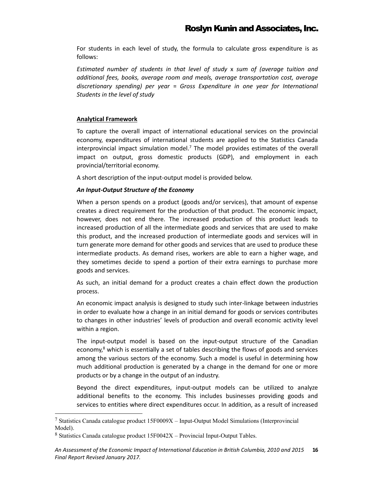For students in each level of study, the formula to calculate gross expenditure is as follows:

*Estimated number of students in that level of study* x *sum of (average tuition and additional fees, books, average room and meals, average transportation cost, average discretionary spending) per year* = *Gross Expenditure in one year for International Students in the level of study* 

#### **Analytical Framework**

To capture the overall impact of international educational services on the provincial economy, expenditures of international students are applied to the Statistics Canada interprovincial impact simulation model.<sup>7</sup> The model provides estimates of the overall impact on output, gross domestic products (GDP), and employment in each provincial/territorial economy.

A short description of the input-output model is provided below.

#### *An Input-Output Structure of the Economy*

When a person spends on a product (goods and/or services), that amount of expense creates a direct requirement for the production of that product. The economic impact, however, does not end there. The increased production of this product leads to increased production of all the intermediate goods and services that are used to make this product, and the increased production of intermediate goods and services will in turn generate more demand for other goods and services that are used to produce these intermediate products. As demand rises, workers are able to earn a higher wage, and they sometimes decide to spend a portion of their extra earnings to purchase more goods and services.

As such, an initial demand for a product creates a chain effect down the production process.

An economic impact analysis is designed to study such inter-linkage between industries in order to evaluate how a change in an initial demand for goods or services contributes to changes in other industries' levels of production and overall economic activity level within a region.

The input-output model is based on the input-output structure of the Canadian economy, $8$  which is essentially a set of tables describing the flows of goods and services among the various sectors of the economy. Such a model is useful in determining how much additional production is generated by a change in the demand for one or more products or by a change in the output of an industry.

Beyond the direct expenditures, input-output models can be utilized to analyze additional benefits to the economy. This includes businesses providing goods and services to entities where direct expenditures occur. In addition, as a result of increased

 $\overline{a}$ 

<sup>7</sup> Statistics Canada catalogue product 15F0009X – Input-Output Model Simulations (Interprovincial Model).

 $8$  Statistics Canada catalogue product  $15F0042X$  – Provincial Input-Output Tables.